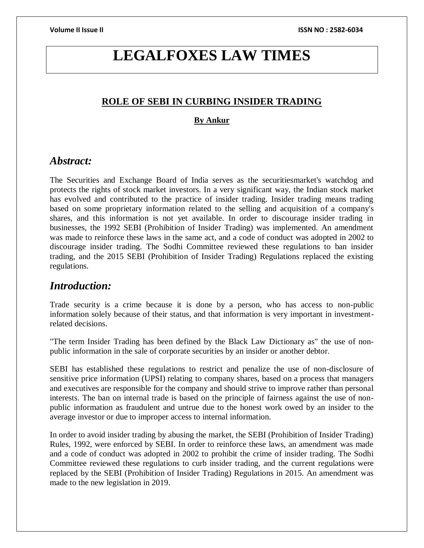# **LEGALFOXES LAW TIMES**

# **ROLE OF SEBI IN CURBING INSIDER TRADING**

### **By Ankur**

# *Abstract:*

The Securities and Exchange Board of India serves as the securitiesmarket's watchdog and protects the rights of stock market investors. In a very significant way, the Indian stock market has evolved and contributed to the practice of insider trading. Insider trading means trading based on some proprietary information related to the selling and acquisition of a company's shares, and this information is not yet available. In order to discourage insider trading in businesses, the 1992 SEBI (Prohibition of Insider Trading) was implemented. An amendment was made to reinforce these laws in the same act, and a code of conduct was adopted in 2002 to discourage insider trading. The Sodhi Committee reviewed these regulations to ban insider trading, and the 2015 SEBI (Prohibition of Insider Trading) Regulations replaced the existing regulations.

# *Introduction:*

Trade security is a crime because it is done by a person, who has access to non-public information solely because of their status, and that information is very important in investmentrelated decisions.

"The term Insider Trading has been defined by the Black Law Dictionary as" the use of nonpublic information in the sale of corporate securities by an insider or another debtor.

SEBI has established these regulations to restrict and penalize the use of non-disclosure of sensitive price information (UPSI) relating to company shares, based on a process that managers and executives are responsible for the company and should strive to improve rather than personal interests. The ban on internal trade is based on the principle of fairness against the use of nonpublic information as fraudulent and untrue due to the honest work owed by an insider to the average investor or due to improper access to internal information.

In order to avoid insider trading by abusing the market, the SEBI (Prohibition of Insider Trading) Rules, 1992, were enforced by SEBI. In order to reinforce these laws, an amendment was made and a code of conduct was adopted in 2002 to prohibit the crime of insider trading. The Sodhi Committee reviewed these regulations to curb insider trading, and the current regulations were replaced by the SEBI (Prohibition of Insider Trading) Regulations in 2015. An amendment was made to the new legislation in 2019.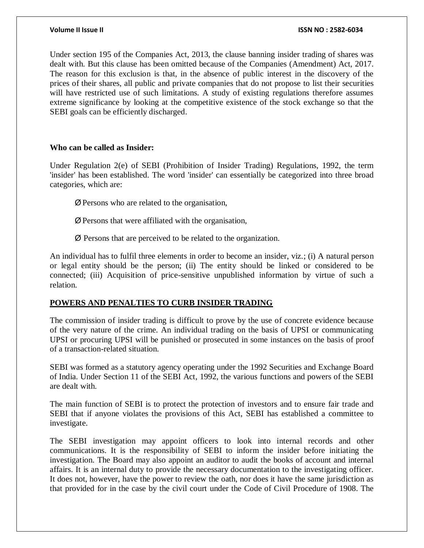Under section 195 of the Companies Act, 2013, the clause banning insider trading of shares was dealt with. But this clause has been omitted because of the Companies (Amendment) Act, 2017. The reason for this exclusion is that, in the absence of public interest in the discovery of the prices of their shares, all public and private companies that do not propose to list their securities will have restricted use of such limitations. A study of existing regulations therefore assumes extreme significance by looking at the competitive existence of the stock exchange so that the SEBI goals can be efficiently discharged.

### **Who can be called as Insider:**

Under Regulation 2(e) of SEBI (Prohibition of Insider Trading) Regulations, 1992, the term 'insider' has been established. The word 'insider' can essentially be categorized into three broad categories, which are:

- ØPersons who are related to the organisation,
- ØPersons that were affiliated with the organisation,
- Ø Persons that are perceived to be related to the organization.

An individual has to fulfil three elements in order to become an insider, viz.; (i) A natural person or legal entity should be the person; (ii) The entity should be linked or considered to be connected; (iii) Acquisition of price-sensitive unpublished information by virtue of such a relation.

### **POWERS AND PENALTIES TO CURB INSIDER TRADING**

The commission of insider trading is difficult to prove by the use of concrete evidence because of the very nature of the crime. An individual trading on the basis of UPSI or communicating UPSI or procuring UPSI will be punished or prosecuted in some instances on the basis of proof of a transaction-related situation.

SEBI was formed as a statutory agency operating under the 1992 Securities and Exchange Board of India. Under Section 11 of the SEBI Act, 1992, the various functions and powers of the SEBI are dealt with.

The main function of SEBI is to protect the protection of investors and to ensure fair trade and SEBI that if anyone violates the provisions of this Act, SEBI has established a committee to investigate.

The SEBI investigation may appoint officers to look into internal records and other communications. It is the responsibility of SEBI to inform the insider before initiating the investigation. The Board may also appoint an auditor to audit the books of account and internal affairs. It is an internal duty to provide the necessary documentation to the investigating officer. It does not, however, have the power to review the oath, nor does it have the same jurisdiction as that provided for in the case by the civil court under the Code of Civil Procedure of 1908. The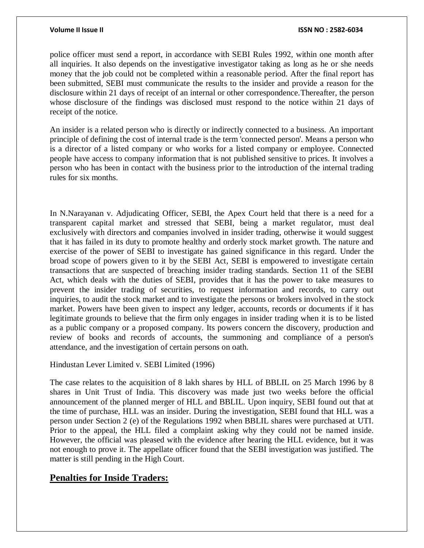police officer must send a report, in accordance with SEBI Rules 1992, within one month after all inquiries. It also depends on the investigative investigator taking as long as he or she needs money that the job could not be completed within a reasonable period. After the final report has been submitted, SEBI must communicate the results to the insider and provide a reason for the disclosure within 21 days of receipt of an internal or other correspondence.Thereafter, the person whose disclosure of the findings was disclosed must respond to the notice within 21 days of receipt of the notice.

An insider is a related person who is directly or indirectly connected to a business. An important principle of defining the cost of internal trade is the term 'connected person'. Means a person who is a director of a listed company or who works for a listed company or employee. Connected people have access to company information that is not published sensitive to prices. It involves a person who has been in contact with the business prior to the introduction of the internal trading rules for six months.

In N.Narayanan v. Adjudicating Officer, SEBI, the Apex Court held that there is a need for a transparent capital market and stressed that SEBI, being a market regulator, must deal exclusively with directors and companies involved in insider trading, otherwise it would suggest that it has failed in its duty to promote healthy and orderly stock market growth. The nature and exercise of the power of SEBI to investigate has gained significance in this regard. Under the broad scope of powers given to it by the SEBI Act, SEBI is empowered to investigate certain transactions that are suspected of breaching insider trading standards. Section 11 of the SEBI Act, which deals with the duties of SEBI, provides that it has the power to take measures to prevent the insider trading of securities, to request information and records, to carry out inquiries, to audit the stock market and to investigate the persons or brokers involved in the stock market. Powers have been given to inspect any ledger, accounts, records or documents if it has legitimate grounds to believe that the firm only engages in insider trading when it is to be listed as a public company or a proposed company. Its powers concern the discovery, production and review of books and records of accounts, the summoning and compliance of a person's attendance, and the investigation of certain persons on oath.

### Hindustan Lever Limited v. SEBI Limited (1996)

The case relates to the acquisition of 8 lakh shares by HLL of BBLIL on 25 March 1996 by 8 shares in Unit Trust of India. This discovery was made just two weeks before the official announcement of the planned merger of HLL and BBLIL. Upon inquiry, SEBI found out that at the time of purchase, HLL was an insider. During the investigation, SEBI found that HLL was a person under Section 2 (e) of the Regulations 1992 when BBLIL shares were purchased at UTI. Prior to the appeal, the HLL filed a complaint asking why they could not be named inside. However, the official was pleased with the evidence after hearing the HLL evidence, but it was not enough to prove it. The appellate officer found that the SEBI investigation was justified. The matter is still pending in the High Court.

## **Penalties for Inside Traders:**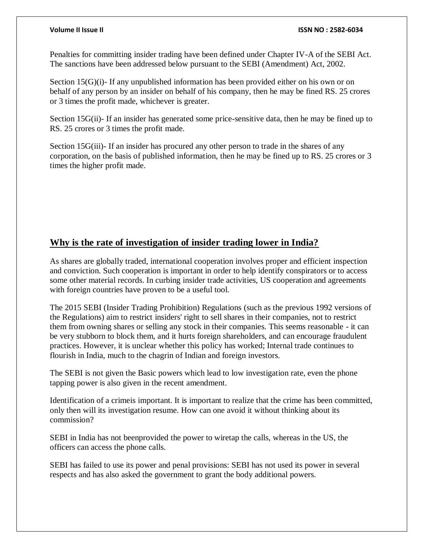Penalties for committing insider trading have been defined under Chapter IV-A of the SEBI Act. The sanctions have been addressed below pursuant to the SEBI (Amendment) Act, 2002.

Section 15(G)(i)- If any unpublished information has been provided either on his own or on behalf of any person by an insider on behalf of his company, then he may be fined RS. 25 crores or 3 times the profit made, whichever is greater.

Section 15G(ii)- If an insider has generated some price-sensitive data, then he may be fined up to RS. 25 crores or 3 times the profit made.

Section 15G(iii)- If an insider has procured any other person to trade in the shares of any corporation, on the basis of published information, then he may be fined up to RS. 25 crores or 3 times the higher profit made.

# **Why is the rate of investigation of insider trading lower in India?**

As shares are globally traded, international cooperation involves proper and efficient inspection and conviction. Such cooperation is important in order to help identify conspirators or to access some other material records. In curbing insider trade activities, US cooperation and agreements with foreign countries have proven to be a useful tool.

The 2015 SEBI (Insider Trading Prohibition) Regulations (such as the previous 1992 versions of the Regulations) aim to restrict insiders' right to sell shares in their companies, not to restrict them from owning shares or selling any stock in their companies. This seems reasonable - it can be very stubborn to block them, and it hurts foreign shareholders, and can encourage fraudulent practices. However, it is unclear whether this policy has worked; Internal trade continues to flourish in India, much to the chagrin of Indian and foreign investors.

The SEBI is not given the Basic powers which lead to low investigation rate, even the phone tapping power is also given in the recent amendment.

Identification of a crimeis important. It is important to realize that the crime has been committed, only then will its investigation resume. How can one avoid it without thinking about its commission?

SEBI in India has not beenprovided the power to wiretap the calls, whereas in the US, the officers can access the phone calls.

SEBI has failed to use its power and penal provisions: SEBI has not used its power in several respects and has also asked the government to grant the body additional powers.